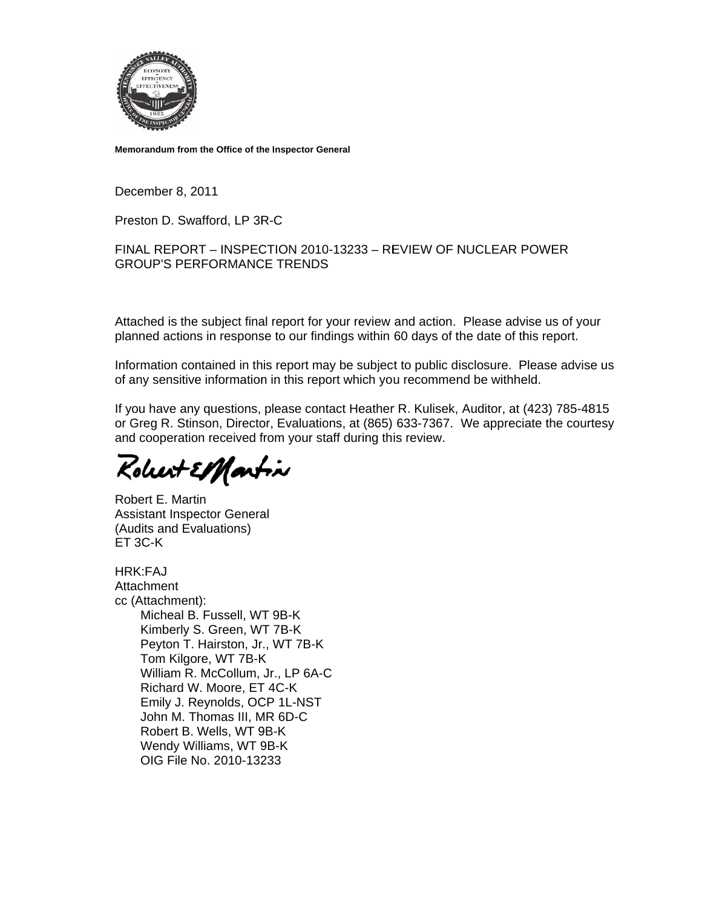

Memorandum from the Office of the Inspector General

December 8, 2011

Preston D. Swafford, LP 3R-C

FINAL REPORT - INSPECTION 2010-13233 - REVIEW OF NUCLEAR POWER **GROUP'S PERFORMANCE TRENDS** 

Attached is the subject final report for your review and action. Please advise us of your planned actions in response to our findings within 60 days of the date of this report.

Information contained in this report may be subject to public disclosure. Please advise us of any sensitive information in this report which you recommend be withheld.

If you have any questions, please contact Heather R. Kulisek, Auditor, at (423) 785-4815 or Greg R. Stinson, Director, Evaluations, at (865) 633-7367. We appreciate the courtesy and cooperation received from your staff during this review.

Robert El Martin

Robert E. Martin **Assistant Inspector General** (Audits and Evaluations) ET 3C-K

HRK:FAJ Attachment cc (Attachment): Micheal B. Fussell, WT 9B-K Kimberly S. Green, WT 7B-K Peyton T. Hairston, Jr., WT 7B-K Tom Kilgore, WT 7B-K William R. McCollum, Jr., LP 6A-C Richard W. Moore, ET 4C-K Emily J. Reynolds, OCP 1L-NST John M. Thomas III, MR 6D-C Robert B. Wells, WT 9B-K Wendy Williams, WT 9B-K OIG File No. 2010-13233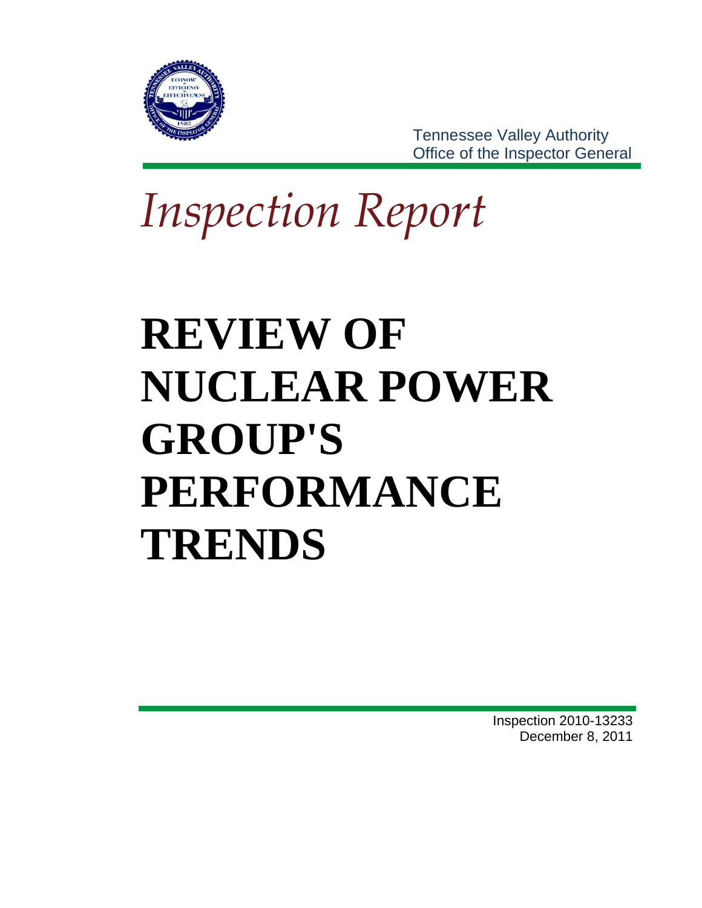

**Tennessee Valley Authority** Office of the Inspector General

**Inspection Report** 

# **REVIEW OF NUCLEAR POWER GROUP'S** PERFORMANCE **TRENDS**

**Inspection 2010-13233** December 8, 2011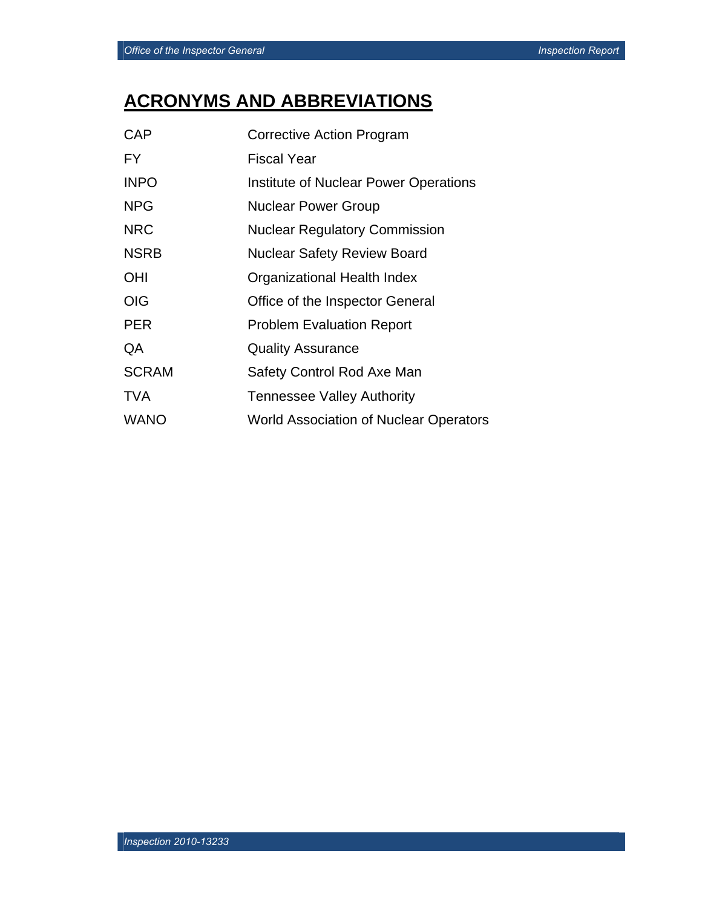# **ACRONYMS AND ABBREVIATIONS**

| CAP          | <b>Corrective Action Program</b>       |
|--------------|----------------------------------------|
| FY.          | <b>Fiscal Year</b>                     |
| <b>INPO</b>  | Institute of Nuclear Power Operations  |
| <b>NPG</b>   | <b>Nuclear Power Group</b>             |
| <b>NRC</b>   | <b>Nuclear Regulatory Commission</b>   |
| <b>NSRB</b>  | <b>Nuclear Safety Review Board</b>     |
| <b>OHI</b>   | Organizational Health Index            |
| <b>OIG</b>   | Office of the Inspector General        |
| <b>PER</b>   | <b>Problem Evaluation Report</b>       |
| QA           | <b>Quality Assurance</b>               |
| <b>SCRAM</b> | Safety Control Rod Axe Man             |
| <b>TVA</b>   | <b>Tennessee Valley Authority</b>      |
| <b>WANO</b>  | World Association of Nuclear Operators |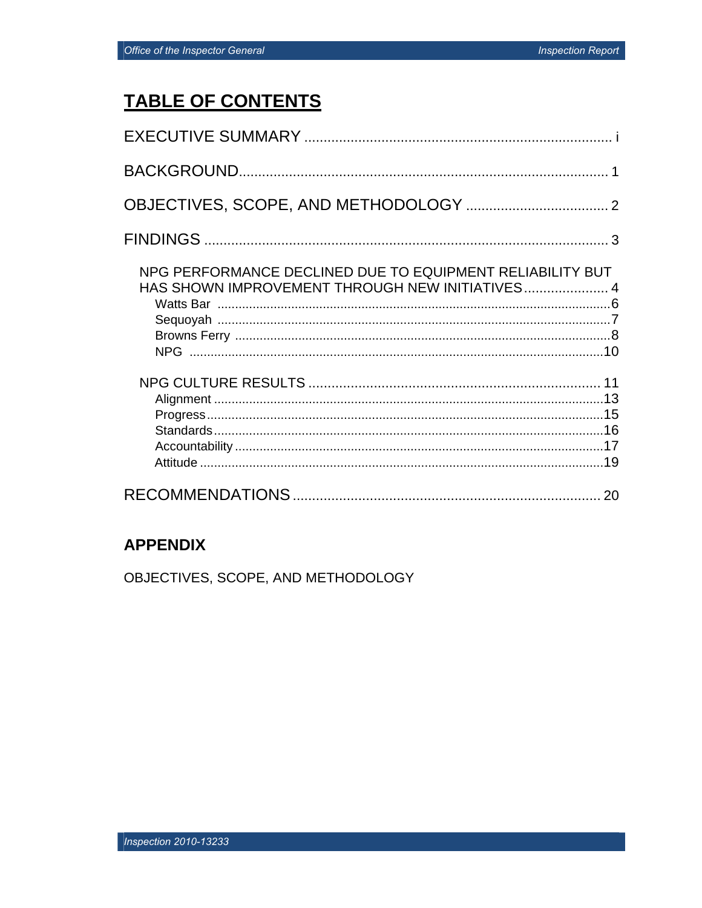# **TABLE OF CONTENTS**

| NPG PERFORMANCE DECLINED DUE TO EQUIPMENT RELIABILITY BUT<br>HAS SHOWN IMPROVEMENT THROUGH NEW INITIATIVES 4 |  |
|--------------------------------------------------------------------------------------------------------------|--|
|                                                                                                              |  |
| 20                                                                                                           |  |

## **APPENDIX**

OBJECTIVES, SCOPE, AND METHODOLOGY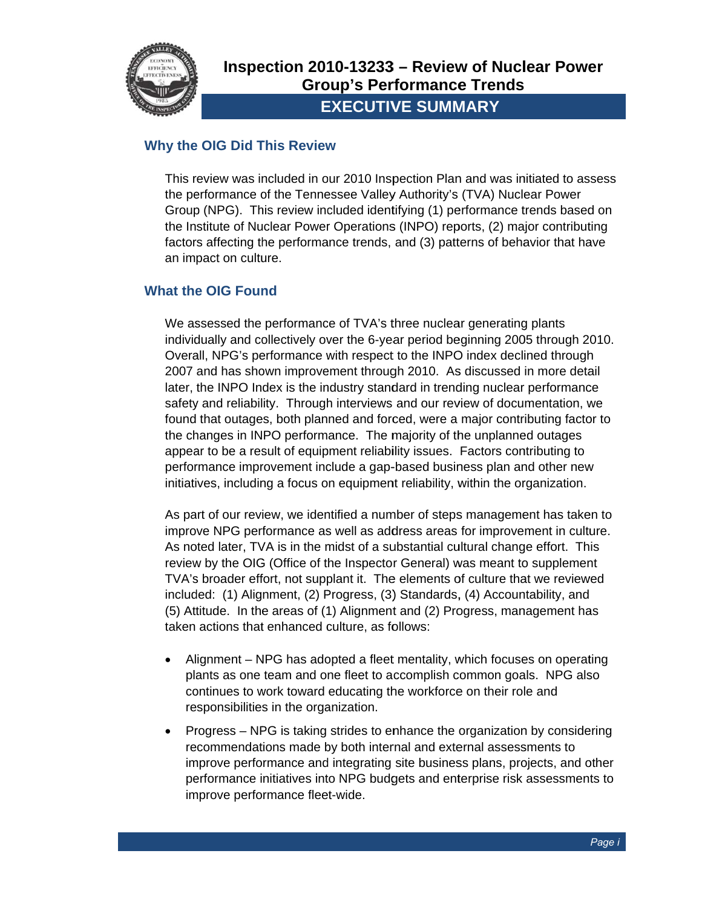

#### **Why the OIG Did This Review**

This review was included in our 2010 Inspection Plan and was initiated to assess the performance of the Tennessee Valley Authority's (TVA) Nuclear Power Group (NPG). This review included identifying (1) performance trends based on the Institute of Nuclear Power Operations (INPO) reports, (2) major contributing factors affecting the performance trends, and (3) patterns of behavior that have an impact on culture.

#### **What the OIG Found**

We assessed the performance of TVA's three nuclear generating plants individually and collectively over the 6-year period beginning 2005 through 2010. Overall, NPG's performance with respect to the INPO index declined through 2007 and has shown improvement through 2010. As discussed in more detail later, the INPO Index is the industry standard in trending nuclear performance safety and reliability. Through interviews and our review of documentation, we found that outages, both planned and forced, were a major contributing factor to the changes in INPO performance. The majority of the unplanned outages appear to be a result of equipment reliability issues. Factors contributing to performance improvement include a gap-based business plan and other new initiatives, including a focus on equipment reliability, within the organization.

As part of our review, we identified a number of steps management has taken to improve NPG performance as well as address areas for improvement in culture. As noted later, TVA is in the midst of a substantial cultural change effort. This review by the OIG (Office of the Inspector General) was meant to supplement TVA's broader effort, not supplant it. The elements of culture that we reviewed included: (1) Alignment, (2) Progress, (3) Standards, (4) Accountability, and (5) Attitude. In the areas of (1) Alignment and (2) Progress, management has taken actions that enhanced culture, as follows:

- Alignment NPG has adopted a fleet mentality, which focuses on operating plants as one team and one fleet to accomplish common goals. NPG also continues to work toward educating the workforce on their role and responsibilities in the organization.
- Progress NPG is taking strides to enhance the organization by considering recommendations made by both internal and external assessments to improve performance and integrating site business plans, projects, and other performance initiatives into NPG budgets and enterprise risk assessments to improve performance fleet-wide.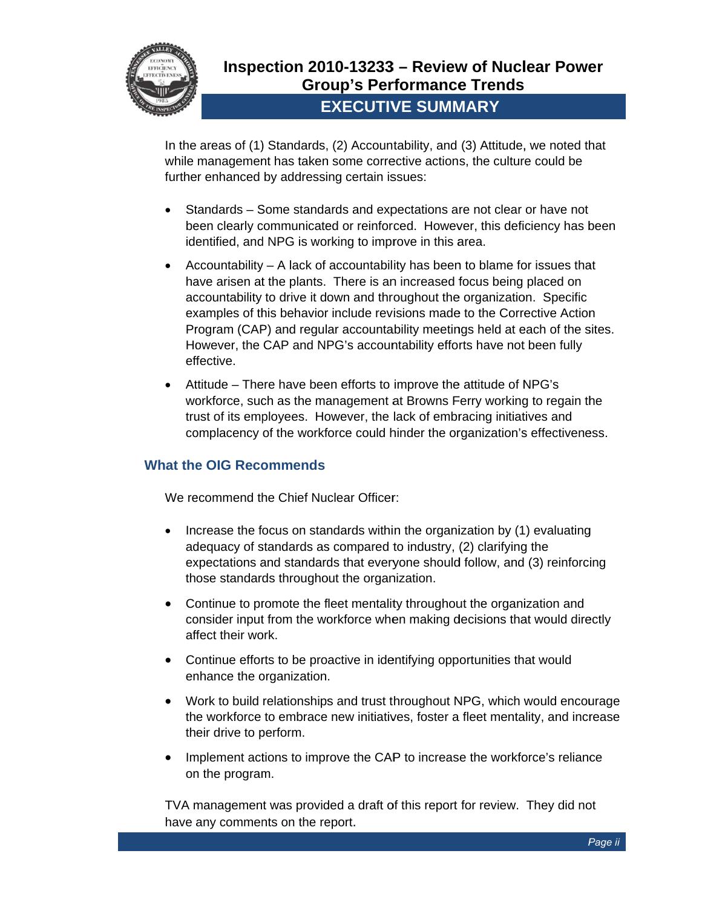

In the areas of (1) Standards, (2) Accountability, and (3) Attitude, we noted that while management has taken some corrective actions, the culture could be further enhanced by addressing certain issues:

- Standards Some standards and expectations are not clear or have not  $\bullet$ been clearly communicated or reinforced. However, this deficiency has been identified, and NPG is working to improve in this area.
- Accountability A lack of accountability has been to blame for issues that have arisen at the plants. There is an increased focus being placed on accountability to drive it down and throughout the organization. Specific examples of this behavior include revisions made to the Corrective Action Program (CAP) and regular accountability meetings held at each of the sites. However, the CAP and NPG's accountability efforts have not been fully effective.
- Attitude There have been efforts to improve the attitude of NPG's workforce, such as the management at Browns Ferry working to regain the trust of its employees. However, the lack of embracing initiatives and complacency of the workforce could hinder the organization's effectiveness.

#### **What the OIG Recommends**

We recommend the Chief Nuclear Officer:

- Increase the focus on standards within the organization by (1) evaluating  $\bullet$ adequacy of standards as compared to industry, (2) clarifying the expectations and standards that everyone should follow, and (3) reinforcing those standards throughout the organization.
- Continue to promote the fleet mentality throughout the organization and  $\bullet$ consider input from the workforce when making decisions that would directly affect their work.
- Continue efforts to be proactive in identifying opportunities that would enhance the organization.
- Work to build relationships and trust throughout NPG, which would encourage  $\bullet$ the workforce to embrace new initiatives, foster a fleet mentality, and increase their drive to perform.
- Implement actions to improve the CAP to increase the workforce's reliance  $\bullet$ on the program.

TVA management was provided a draft of this report for review. They did not have any comments on the report.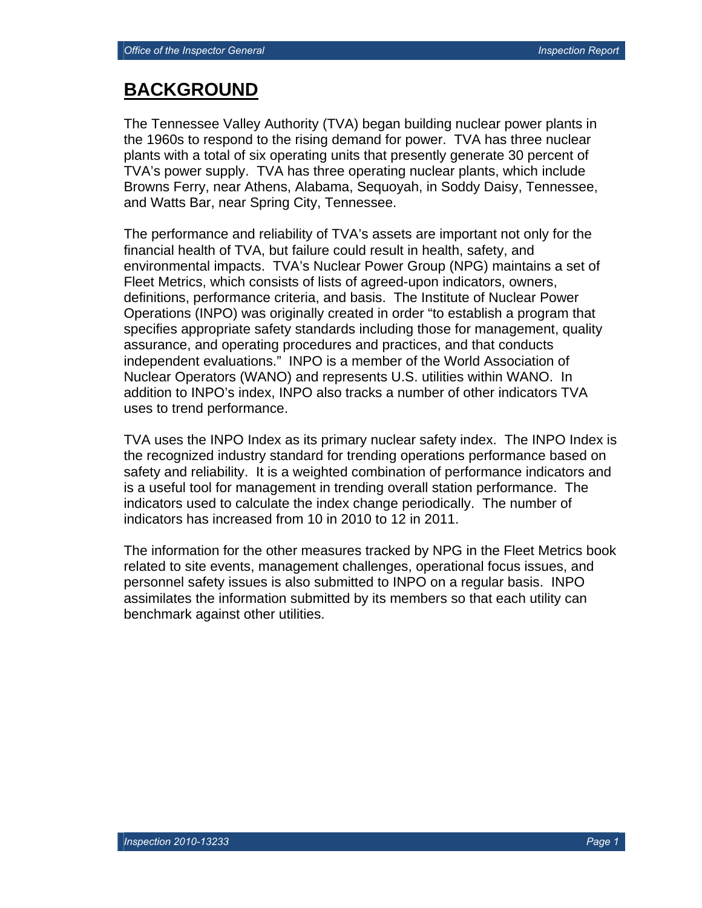## **BACKGROUND**

The Tennessee Valley Authority (TVA) began building nuclear power plants in the 1960s to respond to the rising demand for power. TVA has three nuclear plants with a total of six operating units that presently generate 30 percent of TVA's power supply. TVA has three operating nuclear plants, which include Browns Ferry, near Athens, Alabama, Sequoyah, in Soddy Daisy, Tennessee, and Watts Bar, near Spring City, Tennessee.

The performance and reliability of TVA's assets are important not only for the financial health of TVA, but failure could result in health, safety, and environmental impacts. TVA's Nuclear Power Group (NPG) maintains a set of Fleet Metrics, which consists of lists of agreed-upon indicators, owners, definitions, performance criteria, and basis. The Institute of Nuclear Power Operations (INPO) was originally created in order "to establish a program that specifies appropriate safety standards including those for management, quality assurance, and operating procedures and practices, and that conducts independent evaluations." INPO is a member of the World Association of Nuclear Operators (WANO) and represents U.S. utilities within WANO. In addition to INPO's index, INPO also tracks a number of other indicators TVA uses to trend performance.

TVA uses the INPO Index as its primary nuclear safety index. The INPO Index is the recognized industry standard for trending operations performance based on safety and reliability. It is a weighted combination of performance indicators and is a useful tool for management in trending overall station performance. The indicators used to calculate the index change periodically. The number of indicators has increased from 10 in 2010 to 12 in 2011.

The information for the other measures tracked by NPG in the Fleet Metrics book related to site events, management challenges, operational focus issues, and personnel safety issues is also submitted to INPO on a regular basis. INPO assimilates the information submitted by its members so that each utility can benchmark against other utilities.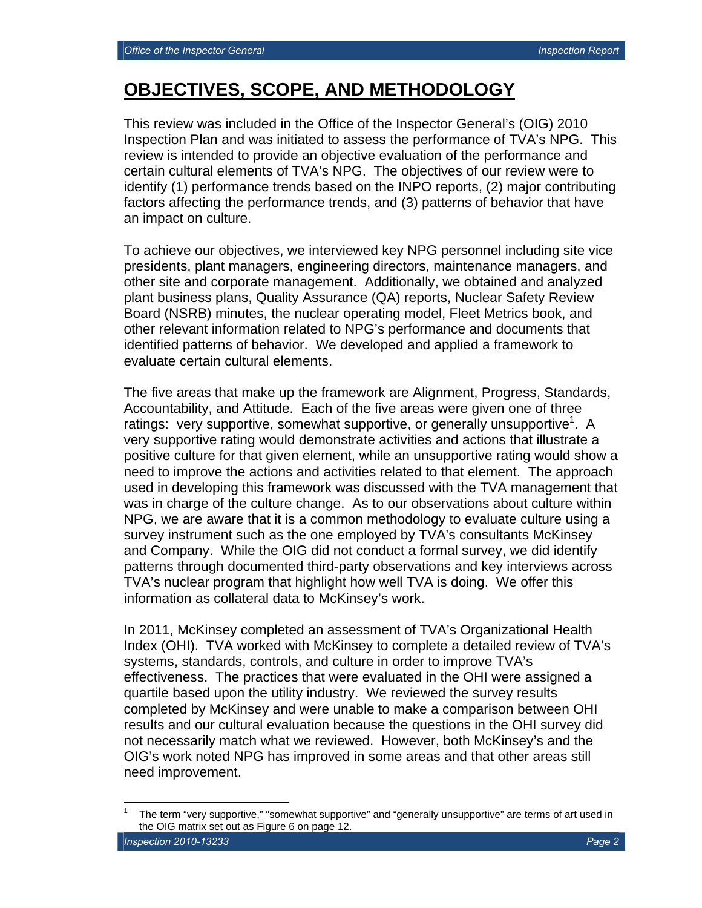$\overline{a}$ 

## **OBJECTIVES, SCOPE, AND METHODOLOGY**

This review was included in the Office of the Inspector General's (OIG) 2010 Inspection Plan and was initiated to assess the performance of TVA's NPG. This review is intended to provide an objective evaluation of the performance and certain cultural elements of TVA's NPG. The objectives of our review were to identify (1) performance trends based on the INPO reports, (2) major contributing factors affecting the performance trends, and (3) patterns of behavior that have an impact on culture.

To achieve our objectives, we interviewed key NPG personnel including site vice presidents, plant managers, engineering directors, maintenance managers, and other site and corporate management. Additionally, we obtained and analyzed plant business plans, Quality Assurance (QA) reports, Nuclear Safety Review Board (NSRB) minutes, the nuclear operating model, Fleet Metrics book, and other relevant information related to NPG's performance and documents that identified patterns of behavior. We developed and applied a framework to evaluate certain cultural elements.

The five areas that make up the framework are Alignment, Progress, Standards, Accountability, and Attitude. Each of the five areas were given one of three ratings: very supportive, somewhat supportive, or generally unsupportive<sup>1</sup>. A very supportive rating would demonstrate activities and actions that illustrate a positive culture for that given element, while an unsupportive rating would show a need to improve the actions and activities related to that element. The approach used in developing this framework was discussed with the TVA management that was in charge of the culture change. As to our observations about culture within NPG, we are aware that it is a common methodology to evaluate culture using a survey instrument such as the one employed by TVA's consultants McKinsey and Company. While the OIG did not conduct a formal survey, we did identify patterns through documented third-party observations and key interviews across TVA's nuclear program that highlight how well TVA is doing. We offer this information as collateral data to McKinsey's work.

In 2011, McKinsey completed an assessment of TVA's Organizational Health Index (OHI). TVA worked with McKinsey to complete a detailed review of TVA's systems, standards, controls, and culture in order to improve TVA's effectiveness. The practices that were evaluated in the OHI were assigned a quartile based upon the utility industry. We reviewed the survey results completed by McKinsey and were unable to make a comparison between OHI results and our cultural evaluation because the questions in the OHI survey did not necessarily match what we reviewed. However, both McKinsey's and the OIG's work noted NPG has improved in some areas and that other areas still need improvement.

**Inspection 2010-13233** Page 2 **Page 2** Page 2 **Page 2** Page 2 Page 2 Page 2 Page 2 Page 2 Page 2 Page 2 Page 2 Page 2 Page 2 Page 2 Page 2 Page 2 Page 2 Page 2 Page 2 Page 2 Page 2 Page 2 Page 2 Page 2 Page 2 Page 2 Page 1 The term "very supportive," "somewhat supportive" and "generally unsupportive" are terms of art used in the OIG matrix set out as Figure 6 on page 12.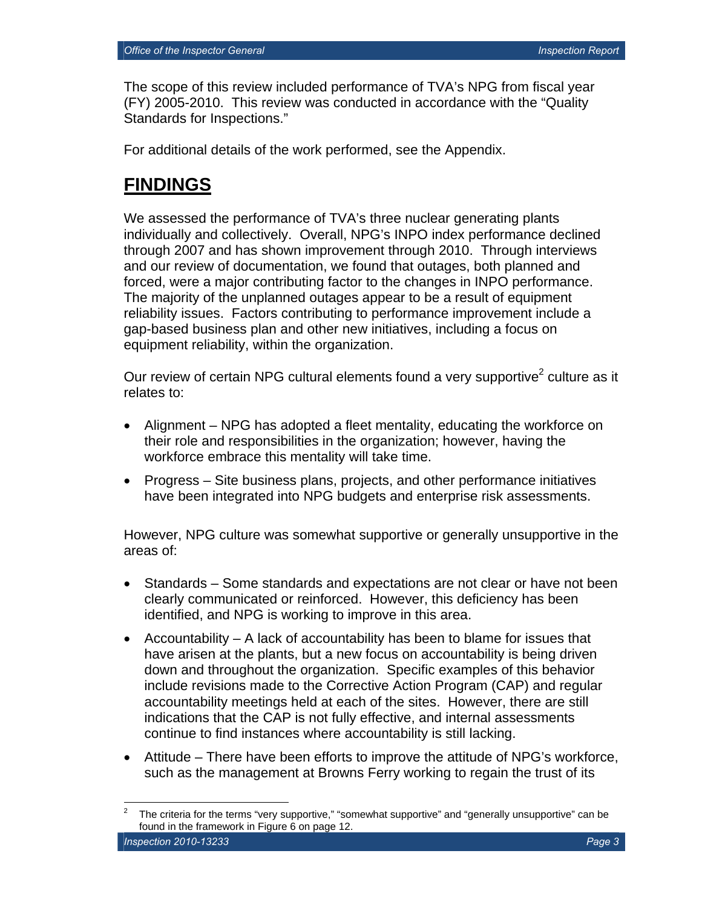The scope of this review included performance of TVA's NPG from fiscal year (FY) 2005-2010. This review was conducted in accordance with the "Quality Standards for Inspections."

For additional details of the work performed, see the Appendix.

## **FINDINGS**

We assessed the performance of TVA's three nuclear generating plants individually and collectively. Overall, NPG's INPO index performance declined through 2007 and has shown improvement through 2010. Through interviews and our review of documentation, we found that outages, both planned and forced, were a major contributing factor to the changes in INPO performance. The majority of the unplanned outages appear to be a result of equipment reliability issues. Factors contributing to performance improvement include a gap-based business plan and other new initiatives, including a focus on equipment reliability, within the organization.

Our review of certain NPG cultural elements found a very supportive<sup>2</sup> culture as it relates to:

- Alignment NPG has adopted a fleet mentality, educating the workforce on their role and responsibilities in the organization; however, having the workforce embrace this mentality will take time.
- Progress Site business plans, projects, and other performance initiatives have been integrated into NPG budgets and enterprise risk assessments.

However, NPG culture was somewhat supportive or generally unsupportive in the areas of:

- Standards Some standards and expectations are not clear or have not been clearly communicated or reinforced. However, this deficiency has been identified, and NPG is working to improve in this area.
- Accountability A lack of accountability has been to blame for issues that have arisen at the plants, but a new focus on accountability is being driven down and throughout the organization. Specific examples of this behavior include revisions made to the Corrective Action Program (CAP) and regular accountability meetings held at each of the sites. However, there are still indications that the CAP is not fully effective, and internal assessments continue to find instances where accountability is still lacking.
- Attitude There have been efforts to improve the attitude of NPG's workforce, such as the management at Browns Ferry working to regain the trust of its

**Inspection 2010-13233** Page 3 **Page 3**  $\overline{a}$ 2 The criteria for the terms "very supportive," "somewhat supportive" and "generally unsupportive" can be found in the framework in Figure 6 on page 12.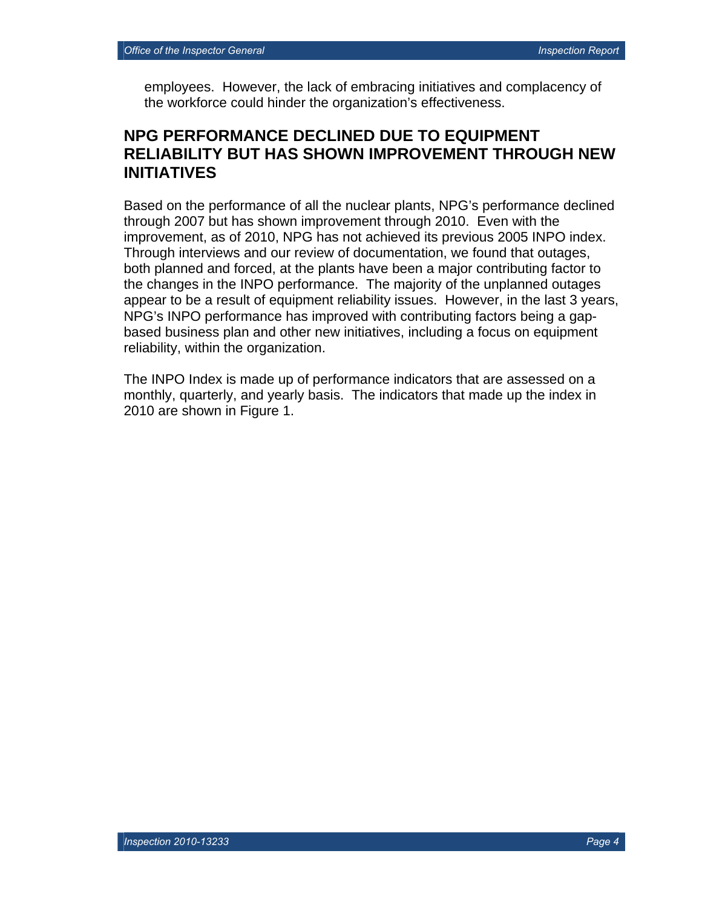employees. However, the lack of embracing initiatives and complacency of the workforce could hinder the organization's effectiveness.

### **NPG PERFORMANCE DECLINED DUE TO EQUIPMENT RELIABILITY BUT HAS SHOWN IMPROVEMENT THROUGH NEW INITIATIVES**

Based on the performance of all the nuclear plants, NPG's performance declined through 2007 but has shown improvement through 2010. Even with the improvement, as of 2010, NPG has not achieved its previous 2005 INPO index. Through interviews and our review of documentation, we found that outages, both planned and forced, at the plants have been a major contributing factor to the changes in the INPO performance. The majority of the unplanned outages appear to be a result of equipment reliability issues. However, in the last 3 years, NPG's INPO performance has improved with contributing factors being a gapbased business plan and other new initiatives, including a focus on equipment reliability, within the organization.

The INPO Index is made up of performance indicators that are assessed on a monthly, quarterly, and yearly basis. The indicators that made up the index in 2010 are shown in Figure 1.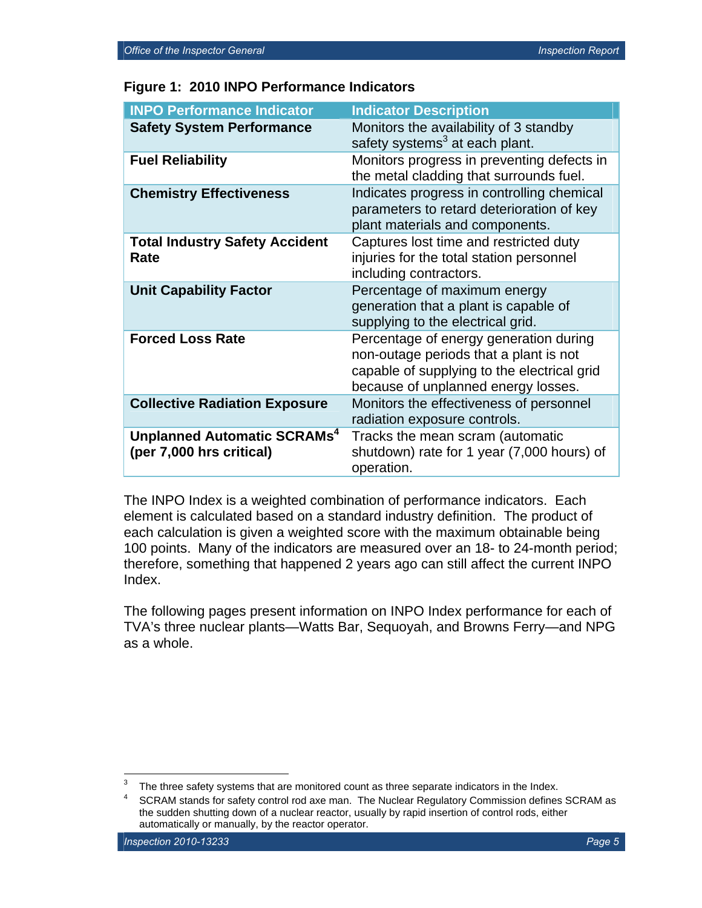| <b>INPO Performance Indicator</b>                                   | <b>Indicator Description</b>                                                                                                                                           |
|---------------------------------------------------------------------|------------------------------------------------------------------------------------------------------------------------------------------------------------------------|
| <b>Safety System Performance</b>                                    | Monitors the availability of 3 standby<br>safety systems <sup>3</sup> at each plant.                                                                                   |
| <b>Fuel Reliability</b>                                             | Monitors progress in preventing defects in<br>the metal cladding that surrounds fuel.                                                                                  |
| <b>Chemistry Effectiveness</b>                                      | Indicates progress in controlling chemical<br>parameters to retard deterioration of key<br>plant materials and components.                                             |
| <b>Total Industry Safety Accident</b><br>Rate                       | Captures lost time and restricted duty<br>injuries for the total station personnel<br>including contractors.                                                           |
| <b>Unit Capability Factor</b>                                       | Percentage of maximum energy<br>generation that a plant is capable of<br>supplying to the electrical grid.                                                             |
| <b>Forced Loss Rate</b>                                             | Percentage of energy generation during<br>non-outage periods that a plant is not<br>capable of supplying to the electrical grid<br>because of unplanned energy losses. |
| <b>Collective Radiation Exposure</b>                                | Monitors the effectiveness of personnel<br>radiation exposure controls.                                                                                                |
| Unplanned Automatic SCRAMs <sup>4</sup><br>(per 7,000 hrs critical) | Tracks the mean scram (automatic<br>shutdown) rate for 1 year (7,000 hours) of<br>operation.                                                                           |

The INPO Index is a weighted combination of performance indicators. Each element is calculated based on a standard industry definition. The product of each calculation is given a weighted score with the maximum obtainable being 100 points. Many of the indicators are measured over an 18- to 24-month period; therefore, something that happened 2 years ago can still affect the current INPO Index.

The following pages present information on INPO Index performance for each of TVA's three nuclear plants—Watts Bar, Sequoyah, and Browns Ferry—and NPG as a whole.

 $\overline{a}$ 

<sup>3</sup> The three safety systems that are monitored count as three separate indicators in the Index.<br>4  $\degree$  CDAM stands for safety control red ave man. The Nuclear Beaulatory Commission defines

SCRAM stands for safety control rod axe man. The Nuclear Regulatory Commission defines SCRAM as the sudden shutting down of a nuclear reactor, usually by rapid insertion of control rods, either automatically or manually, by the reactor operator.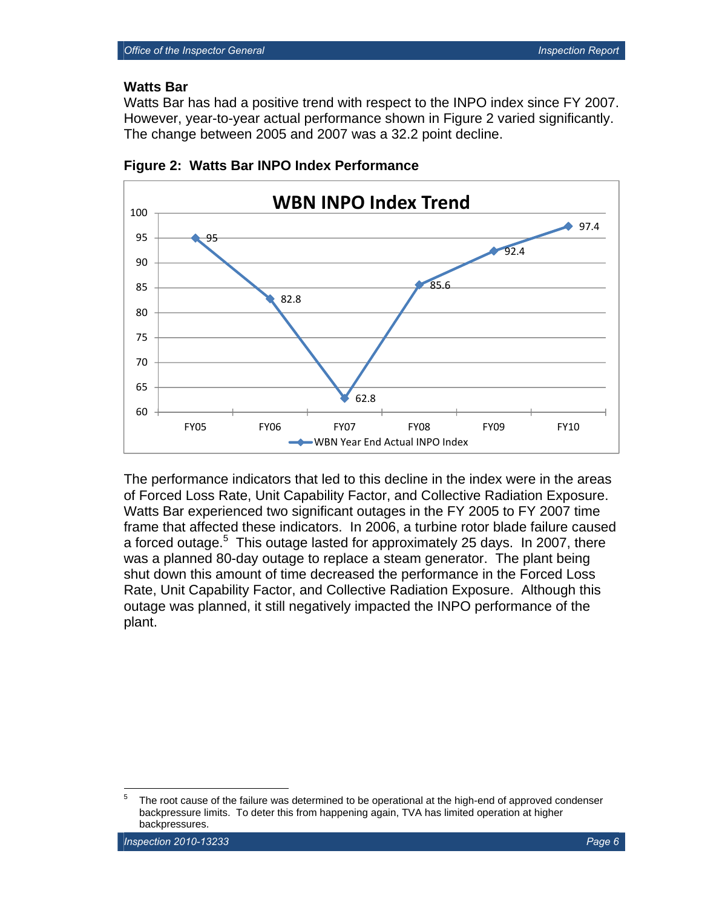#### **Watts Bar**

Watts Bar has had a positive trend with respect to the INPO index since FY 2007. However, year-to-year actual performance shown in Figure 2 varied significantly. The change between 2005 and 2007 was a 32.2 point decline.





The performance indicators that led to this decline in the index were in the areas of Forced Loss Rate, Unit Capability Factor, and Collective Radiation Exposure. Watts Bar experienced two significant outages in the FY 2005 to FY 2007 time frame that affected these indicators. In 2006, a turbine rotor blade failure caused a forced outage.<sup>5</sup> This outage lasted for approximately 25 days. In 2007, there was a planned 80-day outage to replace a steam generator. The plant being shut down this amount of time decreased the performance in the Forced Loss Rate, Unit Capability Factor, and Collective Radiation Exposure. Although this outage was planned, it still negatively impacted the INPO performance of the plant.

<sup>-&</sup>lt;br>5 The root cause of the failure was determined to be operational at the high-end of approved condenser backpressure limits. To deter this from happening again, TVA has limited operation at higher backpressures.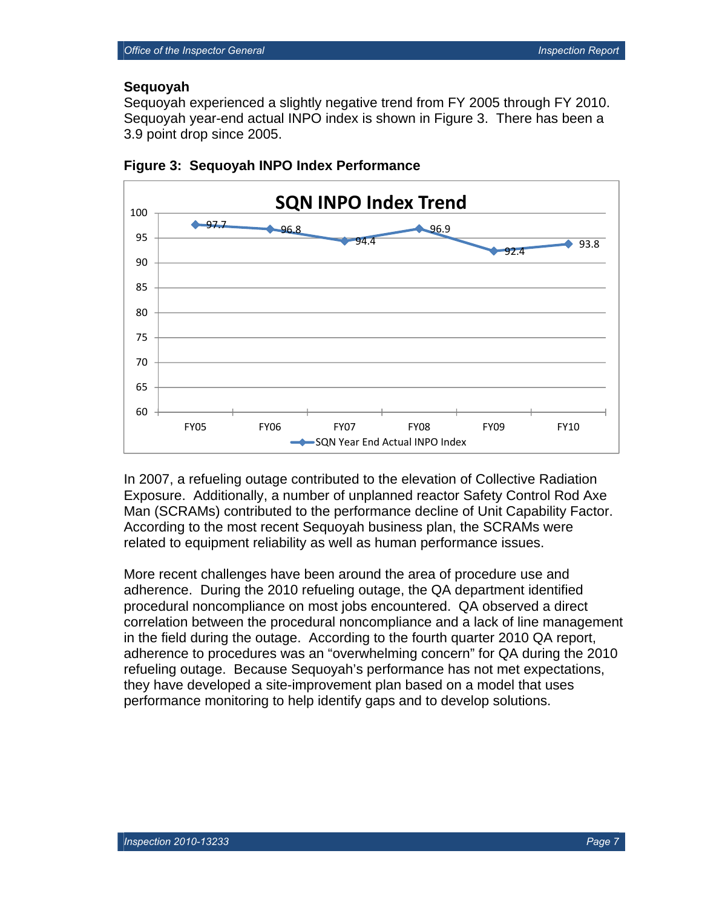#### **Sequoyah**

Sequoyah experienced a slightly negative trend from FY 2005 through FY 2010. Sequoyah year-end actual INPO index is shown in Figure 3. There has been a 3.9 point drop since 2005.





In 2007, a refueling outage contributed to the elevation of Collective Radiation Exposure. Additionally, a number of unplanned reactor Safety Control Rod Axe Man (SCRAMs) contributed to the performance decline of Unit Capability Factor. According to the most recent Sequoyah business plan, the SCRAMs were related to equipment reliability as well as human performance issues.

More recent challenges have been around the area of procedure use and adherence. During the 2010 refueling outage, the QA department identified procedural noncompliance on most jobs encountered. QA observed a direct correlation between the procedural noncompliance and a lack of line management in the field during the outage. According to the fourth quarter 2010 QA report, adherence to procedures was an "overwhelming concern" for QA during the 2010 refueling outage. Because Sequoyah's performance has not met expectations, they have developed a site-improvement plan based on a model that uses performance monitoring to help identify gaps and to develop solutions.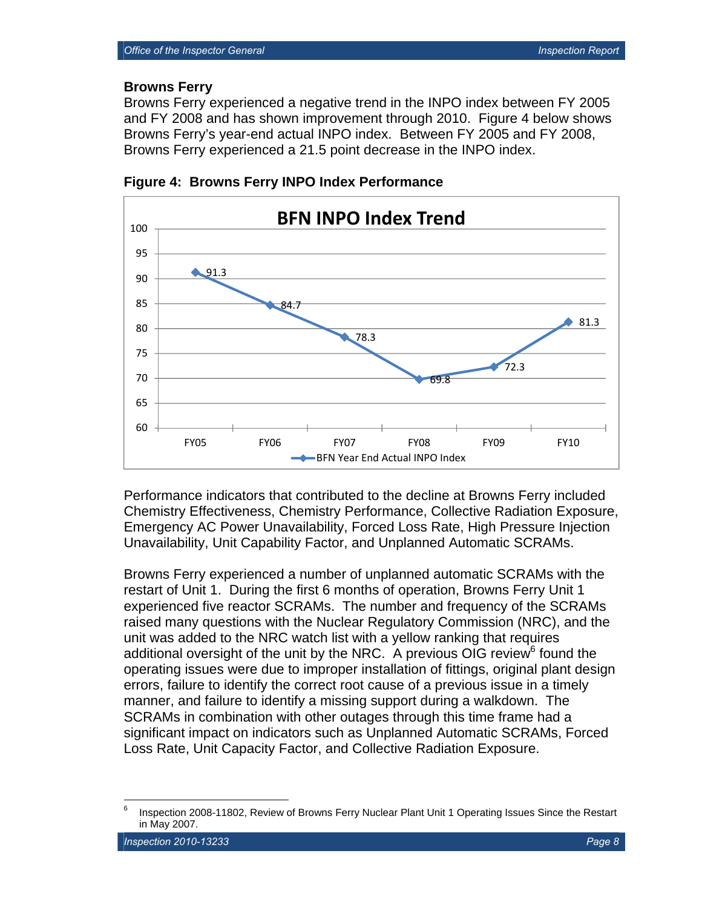#### **Browns Ferry**

Browns Ferry experienced a negative trend in the INPO index between FY 2005 and FY 2008 and has shown improvement through 2010. Figure 4 below shows Browns Ferry's year-end actual INPO index. Between FY 2005 and FY 2008, Browns Ferry experienced a 21.5 point decrease in the INPO index.



**Figure 4: Browns Ferry INPO Index Performance** 

Performance indicators that contributed to the decline at Browns Ferry included Chemistry Effectiveness, Chemistry Performance, Collective Radiation Exposure, Emergency AC Power Unavailability, Forced Loss Rate, High Pressure Injection Unavailability, Unit Capability Factor, and Unplanned Automatic SCRAMs.

Browns Ferry experienced a number of unplanned automatic SCRAMs with the restart of Unit 1. During the first 6 months of operation, Browns Ferry Unit 1 experienced five reactor SCRAMs. The number and frequency of the SCRAMs raised many questions with the Nuclear Regulatory Commission (NRC), and the unit was added to the NRC watch list with a yellow ranking that requires additional oversight of the unit by the NRC. A previous OIG review<sup>6</sup> found the operating issues were due to improper installation of fittings, original plant design errors, failure to identify the correct root cause of a previous issue in a timely manner, and failure to identify a missing support during a walkdown. The SCRAMs in combination with other outages through this time frame had a significant impact on indicators such as Unplanned Automatic SCRAMs, Forced Loss Rate, Unit Capacity Factor, and Collective Radiation Exposure.

<sup>-&</sup>lt;br>6 Inspection 2008-11802, Review of Browns Ferry Nuclear Plant Unit 1 Operating Issues Since the Restart in May 2007.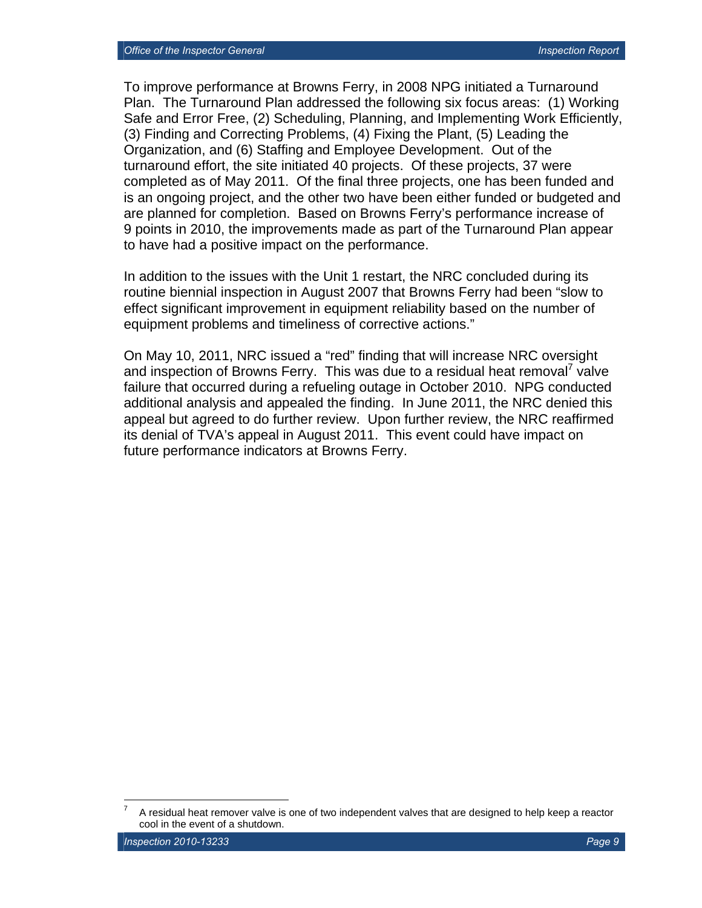To improve performance at Browns Ferry, in 2008 NPG initiated a Turnaround Plan. The Turnaround Plan addressed the following six focus areas: (1) Working Safe and Error Free, (2) Scheduling, Planning, and Implementing Work Efficiently, (3) Finding and Correcting Problems, (4) Fixing the Plant, (5) Leading the Organization, and (6) Staffing and Employee Development. Out of the turnaround effort, the site initiated 40 projects. Of these projects, 37 were completed as of May 2011. Of the final three projects, one has been funded and is an ongoing project, and the other two have been either funded or budgeted and are planned for completion. Based on Browns Ferry's performance increase of 9 points in 2010, the improvements made as part of the Turnaround Plan appear to have had a positive impact on the performance.

In addition to the issues with the Unit 1 restart, the NRC concluded during its routine biennial inspection in August 2007 that Browns Ferry had been "slow to effect significant improvement in equipment reliability based on the number of equipment problems and timeliness of corrective actions."

On May 10, 2011, NRC issued a "red" finding that will increase NRC oversight and inspection of Browns Ferry. This was due to a residual heat removal<sup>7</sup> valve failure that occurred during a refueling outage in October 2010. NPG conducted additional analysis and appealed the finding. In June 2011, the NRC denied this appeal but agreed to do further review. Upon further review, the NRC reaffirmed its denial of TVA's appeal in August 2011. This event could have impact on future performance indicators at Browns Ferry.

 $\overline{a}$ 

<sup>7</sup> A residual heat remover valve is one of two independent valves that are designed to help keep a reactor cool in the event of a shutdown.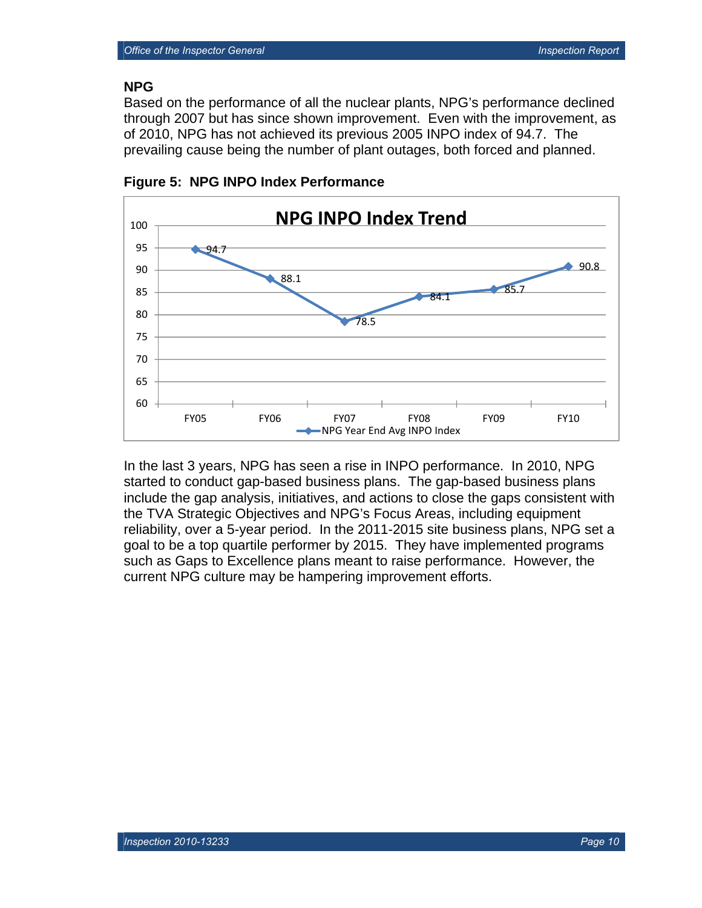#### **NPG**

Based on the performance of all the nuclear plants, NPG's performance declined through 2007 but has since shown improvement. Even with the improvement, as of 2010, NPG has not achieved its previous 2005 INPO index of 94.7. The prevailing cause being the number of plant outages, both forced and planned.



**Figure 5: NPG INPO Index Performance** 

In the last 3 years, NPG has seen a rise in INPO performance. In 2010, NPG started to conduct gap-based business plans. The gap-based business plans include the gap analysis, initiatives, and actions to close the gaps consistent with the TVA Strategic Objectives and NPG's Focus Areas, including equipment reliability, over a 5-year period. In the 2011-2015 site business plans, NPG set a goal to be a top quartile performer by 2015. They have implemented programs such as Gaps to Excellence plans meant to raise performance. However, the current NPG culture may be hampering improvement efforts.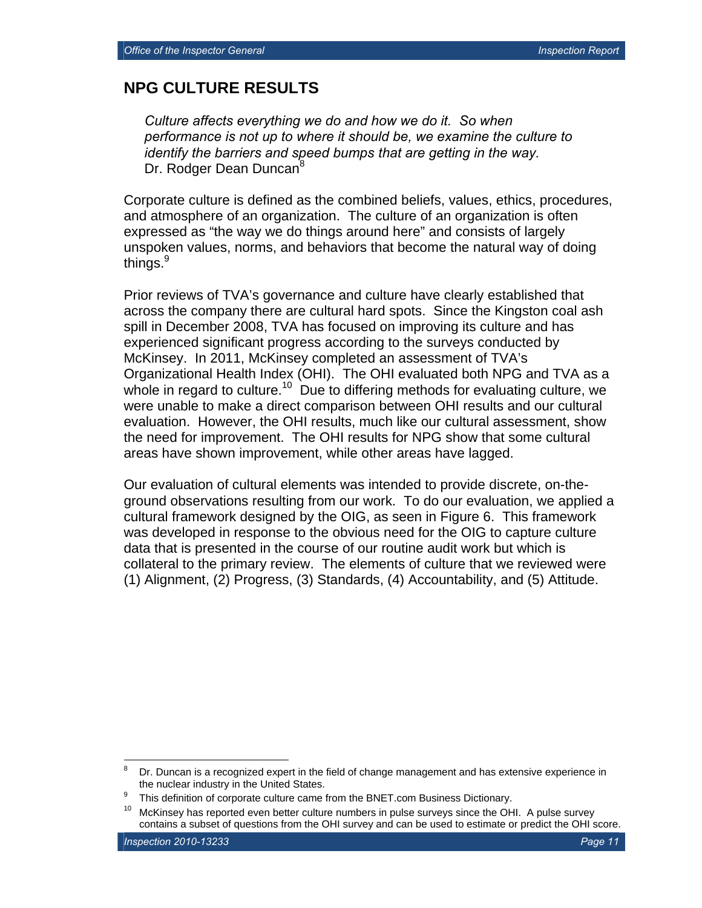#### **NPG CULTURE RESULTS**

*Culture affects everything we do and how we do it. So when performance is not up to where it should be, we examine the culture to identify the barriers and speed bumps that are getting in the way.*  Dr. Rodger Dean Duncan<sup>8</sup>

Corporate culture is defined as the combined beliefs, values, ethics, procedures, and atmosphere of an organization. The culture of an organization is often expressed as "the way we do things around here" and consists of largely unspoken values, norms, and behaviors that become the natural way of doing things. $^9$ 

Prior reviews of TVA's governance and culture have clearly established that across the company there are cultural hard spots. Since the Kingston coal ash spill in December 2008, TVA has focused on improving its culture and has experienced significant progress according to the surveys conducted by McKinsey. In 2011, McKinsey completed an assessment of TVA's Organizational Health Index (OHI). The OHI evaluated both NPG and TVA as a whole in regard to culture.<sup>10</sup> Due to differing methods for evaluating culture, we were unable to make a direct comparison between OHI results and our cultural evaluation. However, the OHI results, much like our cultural assessment, show the need for improvement. The OHI results for NPG show that some cultural areas have shown improvement, while other areas have lagged.

Our evaluation of cultural elements was intended to provide discrete, on-theground observations resulting from our work. To do our evaluation, we applied a cultural framework designed by the OIG, as seen in Figure 6. This framework was developed in response to the obvious need for the OIG to capture culture data that is presented in the course of our routine audit work but which is collateral to the primary review. The elements of culture that we reviewed were (1) Alignment, (2) Progress, (3) Standards, (4) Accountability, and (5) Attitude.

1

<sup>8</sup> Dr. Duncan is a recognized expert in the field of change management and has extensive experience in the nuclear industry in the United States.<br><sup>9</sup> This definition of cornects subvisoements

This definition of corporate culture came from the BNET.com Business Dictionary.

 $10$  McKinsey has reported even better culture numbers in pulse surveys since the OHI. A pulse survey contains a subset of questions from the OHI survey and can be used to estimate or predict the OHI score.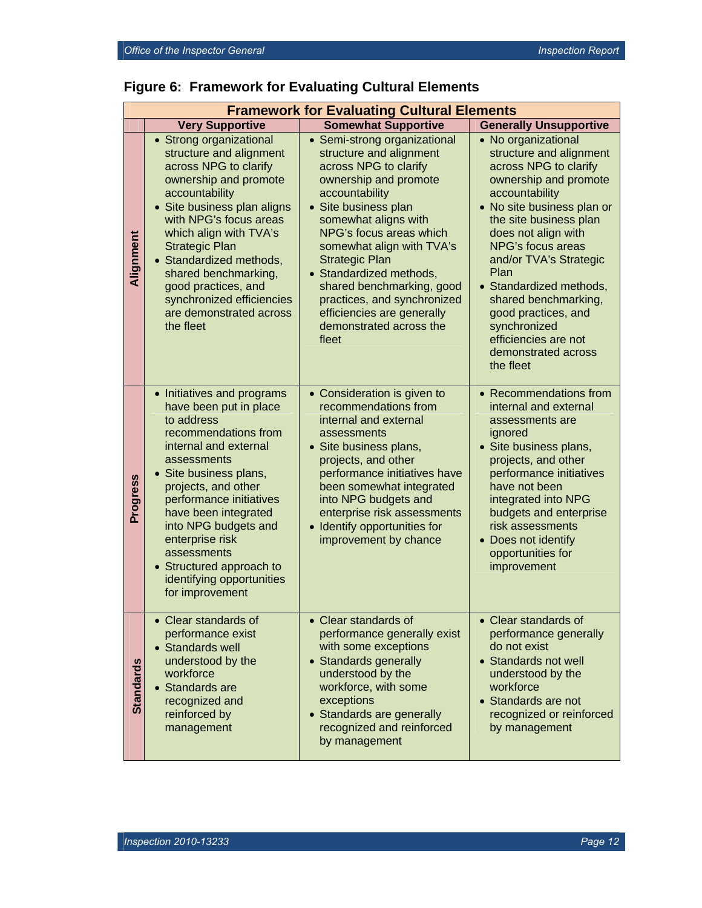| <b>Framework for Evaluating Cultural Elements</b> |                                                                                                                                                                                                                                                                                                                                                                                   |                                                                                                                                                                                                                                                                                                                                                                                                                       |                                                                                                                                                                                                                                                                                                                                                                                                                |  |
|---------------------------------------------------|-----------------------------------------------------------------------------------------------------------------------------------------------------------------------------------------------------------------------------------------------------------------------------------------------------------------------------------------------------------------------------------|-----------------------------------------------------------------------------------------------------------------------------------------------------------------------------------------------------------------------------------------------------------------------------------------------------------------------------------------------------------------------------------------------------------------------|----------------------------------------------------------------------------------------------------------------------------------------------------------------------------------------------------------------------------------------------------------------------------------------------------------------------------------------------------------------------------------------------------------------|--|
|                                                   | <b>Very Supportive</b>                                                                                                                                                                                                                                                                                                                                                            | <b>Somewhat Supportive</b>                                                                                                                                                                                                                                                                                                                                                                                            | <b>Generally Unsupportive</b>                                                                                                                                                                                                                                                                                                                                                                                  |  |
| Alignment                                         | • Strong organizational<br>structure and alignment<br>across NPG to clarify<br>ownership and promote<br>accountability<br>• Site business plan aligns<br>with NPG's focus areas<br>which align with TVA's<br><b>Strategic Plan</b><br>• Standardized methods,<br>shared benchmarking,<br>good practices, and<br>synchronized efficiencies<br>are demonstrated across<br>the fleet | • Semi-strong organizational<br>structure and alignment<br>across NPG to clarify<br>ownership and promote<br>accountability<br>• Site business plan<br>somewhat aligns with<br>NPG's focus areas which<br>somewhat align with TVA's<br><b>Strategic Plan</b><br>• Standardized methods,<br>shared benchmarking, good<br>practices, and synchronized<br>efficiencies are generally<br>demonstrated across the<br>fleet | • No organizational<br>structure and alignment<br>across NPG to clarify<br>ownership and promote<br>accountability<br>• No site business plan or<br>the site business plan<br>does not align with<br>NPG's focus areas<br>and/or TVA's Strategic<br>Plan<br>• Standardized methods,<br>shared benchmarking,<br>good practices, and<br>synchronized<br>efficiencies are not<br>demonstrated across<br>the fleet |  |
| Progress                                          | • Initiatives and programs<br>have been put in place<br>to address<br>recommendations from<br>internal and external<br>assessments<br>• Site business plans,<br>projects, and other<br>performance initiatives<br>have been integrated<br>into NPG budgets and<br>enterprise risk<br>assessments<br>• Structured approach to<br>identifying opportunities<br>for improvement      | • Consideration is given to<br>recommendations from<br>internal and external<br>assessments<br>• Site business plans,<br>projects, and other<br>performance initiatives have<br>been somewhat integrated<br>into NPG budgets and<br>enterprise risk assessments<br>• Identify opportunities for<br>improvement by chance                                                                                              | • Recommendations from<br>internal and external<br>assessments are<br>ignored<br>· Site business plans,<br>projects, and other<br>performance initiatives<br>have not been<br>integrated into NPG<br>budgets and enterprise<br>risk assessments<br>• Does not identify<br>opportunities for<br>improvement                                                                                                     |  |
| <b>Standards</b>                                  | $\bullet$ Clear standards of<br>performance exist<br>• Standards well<br>understood by the<br>workforce<br>• Standards are<br>recognized and<br>reinforced by<br>management                                                                                                                                                                                                       | $\bullet$ Clear standards of<br>performance generally exist<br>with some exceptions<br>• Standards generally<br>understood by the<br>workforce, with some<br>exceptions<br>• Standards are generally<br>recognized and reinforced<br>by management                                                                                                                                                                    | $\bullet$ Clear standards of<br>performance generally<br>do not exist<br>• Standards not well<br>understood by the<br>workforce<br>• Standards are not<br>recognized or reinforced<br>by management                                                                                                                                                                                                            |  |

## **Figure 6: Framework for Evaluating Cultural Elements**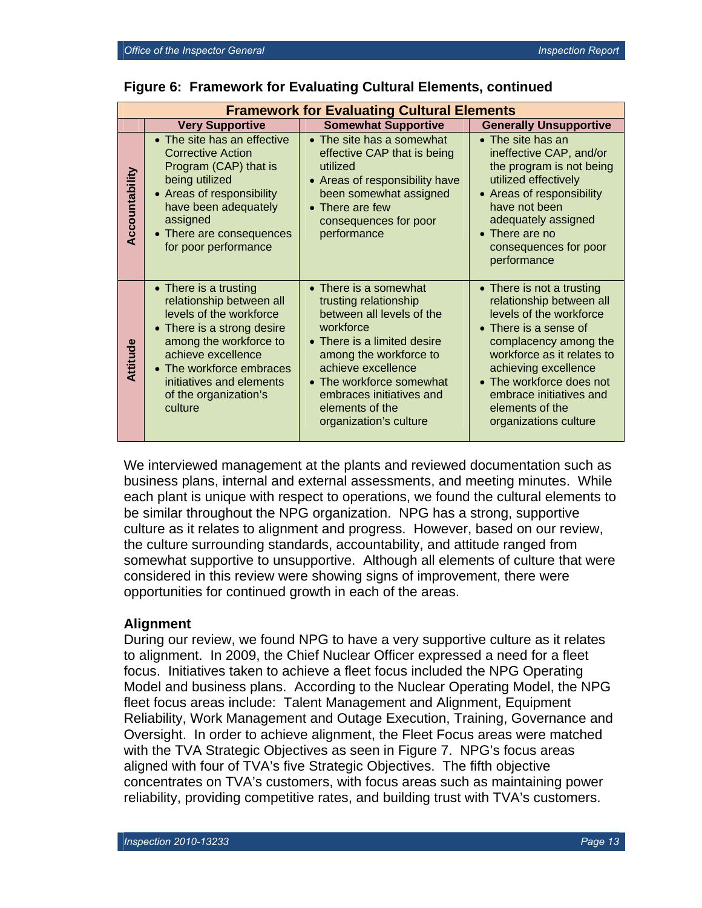| <b>Framework for Evaluating Cultural Elements</b> |                                                                                                                                                                                                                                                        |                                                                                                                                                                                                                                                                              |                                                                                                                                                                                                                                                                                             |  |  |
|---------------------------------------------------|--------------------------------------------------------------------------------------------------------------------------------------------------------------------------------------------------------------------------------------------------------|------------------------------------------------------------------------------------------------------------------------------------------------------------------------------------------------------------------------------------------------------------------------------|---------------------------------------------------------------------------------------------------------------------------------------------------------------------------------------------------------------------------------------------------------------------------------------------|--|--|
|                                                   | <b>Very Supportive</b>                                                                                                                                                                                                                                 | <b>Somewhat Supportive</b>                                                                                                                                                                                                                                                   | <b>Generally Unsupportive</b>                                                                                                                                                                                                                                                               |  |  |
| Accountability                                    | • The site has an effective<br><b>Corrective Action</b><br>Program (CAP) that is<br>being utilized<br>• Areas of responsibility<br>have been adequately<br>assigned<br>• There are consequences<br>for poor performance                                | • The site has a somewhat<br>effective CAP that is being<br>utilized<br>• Areas of responsibility have<br>been somewhat assigned<br>$\bullet$ There are few<br>consequences for poor<br>performance                                                                          | $\bullet$ The site has an<br>ineffective CAP, and/or<br>the program is not being<br>utilized effectively<br>• Areas of responsibility<br>have not been<br>adequately assigned<br>$\bullet$ There are no<br>consequences for poor<br>performance                                             |  |  |
| Attitude                                          | • There is a trusting<br>relationship between all<br>levels of the workforce<br>• There is a strong desire<br>among the workforce to<br>achieve excellence<br>• The workforce embraces<br>initiatives and elements<br>of the organization's<br>culture | • There is a somewhat<br>trusting relationship<br>between all levels of the<br>workforce<br>• There is a limited desire<br>among the workforce to<br>achieve excellence<br>• The workforce somewhat<br>embraces initiatives and<br>elements of the<br>organization's culture | • There is not a trusting<br>relationship between all<br>levels of the workforce<br>• There is a sense of<br>complacency among the<br>workforce as it relates to<br>achieving excellence<br>• The workforce does not<br>embrace initiatives and<br>elements of the<br>organizations culture |  |  |

#### **Figure 6: Framework for Evaluating Cultural Elements, continued**

We interviewed management at the plants and reviewed documentation such as business plans, internal and external assessments, and meeting minutes. While each plant is unique with respect to operations, we found the cultural elements to be similar throughout the NPG organization. NPG has a strong, supportive culture as it relates to alignment and progress. However, based on our review, the culture surrounding standards, accountability, and attitude ranged from somewhat supportive to unsupportive. Although all elements of culture that were considered in this review were showing signs of improvement, there were opportunities for continued growth in each of the areas.

#### **Alignment**

During our review, we found NPG to have a very supportive culture as it relates to alignment. In 2009, the Chief Nuclear Officer expressed a need for a fleet focus. Initiatives taken to achieve a fleet focus included the NPG Operating Model and business plans. According to the Nuclear Operating Model, the NPG fleet focus areas include: Talent Management and Alignment, Equipment Reliability, Work Management and Outage Execution, Training, Governance and Oversight. In order to achieve alignment, the Fleet Focus areas were matched with the TVA Strategic Objectives as seen in Figure 7. NPG's focus areas aligned with four of TVA's five Strategic Objectives. The fifth objective concentrates on TVA's customers, with focus areas such as maintaining power reliability, providing competitive rates, and building trust with TVA's customers.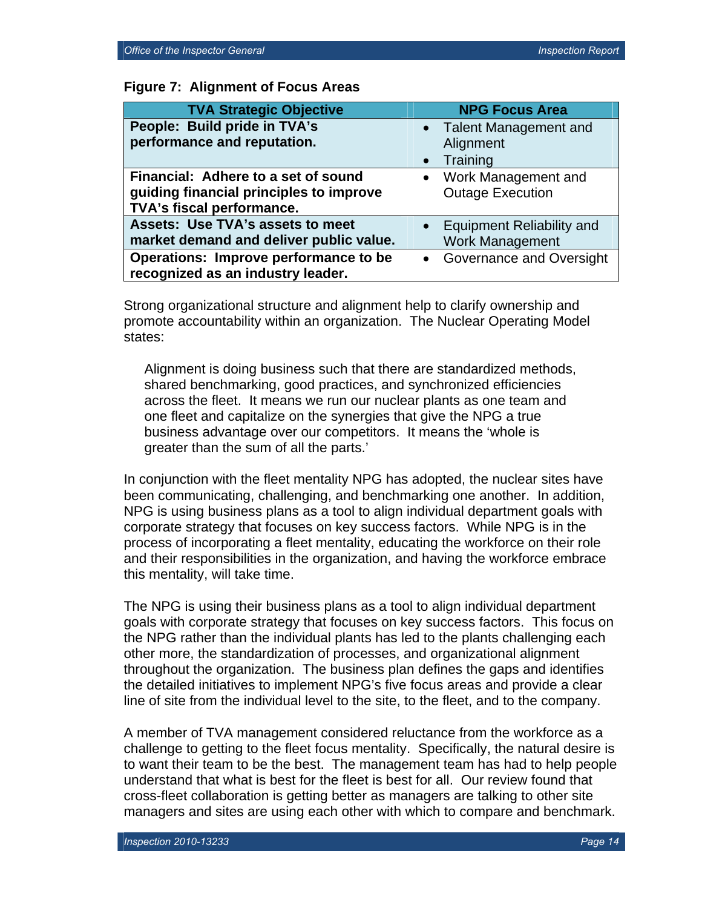| <b>TVA Strategic Objective</b>          | <b>NPG Focus Area</b>                         |
|-----------------------------------------|-----------------------------------------------|
| People: Build pride in TVA's            | • Talent Management and                       |
| performance and reputation.             | Alignment                                     |
|                                         | Training<br>$\bullet$                         |
| Financial: Adhere to a set of sound     | Work Management and<br>$\bullet$              |
| guiding financial principles to improve | <b>Outage Execution</b>                       |
| TVA's fiscal performance.               |                                               |
| <b>Assets: Use TVA's assets to meet</b> | <b>Equipment Reliability and</b><br>$\bullet$ |
| market demand and deliver public value. | <b>Work Management</b>                        |
| Operations: Improve performance to be   | Governance and Oversight<br>$\bullet$         |
| recognized as an industry leader.       |                                               |

Strong organizational structure and alignment help to clarify ownership and promote accountability within an organization. The Nuclear Operating Model states:

Alignment is doing business such that there are standardized methods, shared benchmarking, good practices, and synchronized efficiencies across the fleet. It means we run our nuclear plants as one team and one fleet and capitalize on the synergies that give the NPG a true business advantage over our competitors. It means the 'whole is greater than the sum of all the parts.'

In conjunction with the fleet mentality NPG has adopted, the nuclear sites have been communicating, challenging, and benchmarking one another. In addition, NPG is using business plans as a tool to align individual department goals with corporate strategy that focuses on key success factors. While NPG is in the process of incorporating a fleet mentality, educating the workforce on their role and their responsibilities in the organization, and having the workforce embrace this mentality, will take time.

The NPG is using their business plans as a tool to align individual department goals with corporate strategy that focuses on key success factors. This focus on the NPG rather than the individual plants has led to the plants challenging each other more, the standardization of processes, and organizational alignment throughout the organization. The business plan defines the gaps and identifies the detailed initiatives to implement NPG's five focus areas and provide a clear line of site from the individual level to the site, to the fleet, and to the company.

A member of TVA management considered reluctance from the workforce as a challenge to getting to the fleet focus mentality. Specifically, the natural desire is to want their team to be the best. The management team has had to help people understand that what is best for the fleet is best for all. Our review found that cross-fleet collaboration is getting better as managers are talking to other site managers and sites are using each other with which to compare and benchmark.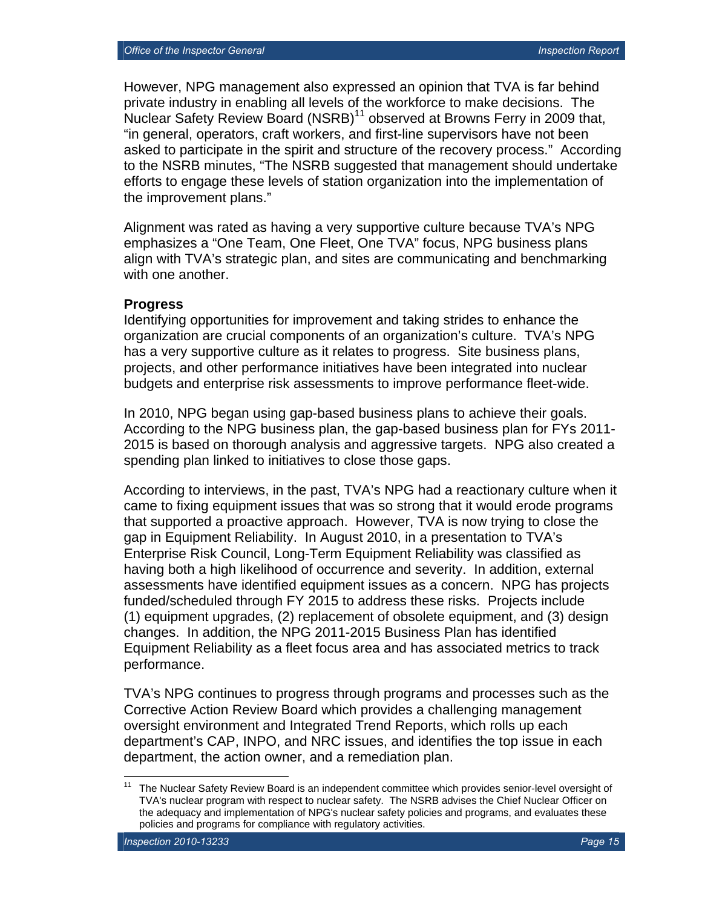However, NPG management also expressed an opinion that TVA is far behind private industry in enabling all levels of the workforce to make decisions. The Nuclear Safety Review Board (NSRB)<sup>11</sup> observed at Browns Ferry in 2009 that, "in general, operators, craft workers, and first-line supervisors have not been asked to participate in the spirit and structure of the recovery process." According to the NSRB minutes, "The NSRB suggested that management should undertake efforts to engage these levels of station organization into the implementation of the improvement plans."

Alignment was rated as having a very supportive culture because TVA's NPG emphasizes a "One Team, One Fleet, One TVA" focus, NPG business plans align with TVA's strategic plan, and sites are communicating and benchmarking with one another.

#### **Progress**

Identifying opportunities for improvement and taking strides to enhance the organization are crucial components of an organization's culture. TVA's NPG has a very supportive culture as it relates to progress. Site business plans, projects, and other performance initiatives have been integrated into nuclear budgets and enterprise risk assessments to improve performance fleet-wide.

In 2010, NPG began using gap-based business plans to achieve their goals. According to the NPG business plan, the gap-based business plan for FYs 2011- 2015 is based on thorough analysis and aggressive targets. NPG also created a spending plan linked to initiatives to close those gaps.

According to interviews, in the past, TVA's NPG had a reactionary culture when it came to fixing equipment issues that was so strong that it would erode programs that supported a proactive approach. However, TVA is now trying to close the gap in Equipment Reliability. In August 2010, in a presentation to TVA's Enterprise Risk Council, Long-Term Equipment Reliability was classified as having both a high likelihood of occurrence and severity. In addition, external assessments have identified equipment issues as a concern. NPG has projects funded/scheduled through FY 2015 to address these risks. Projects include (1) equipment upgrades, (2) replacement of obsolete equipment, and (3) design changes. In addition, the NPG 2011-2015 Business Plan has identified Equipment Reliability as a fleet focus area and has associated metrics to track performance.

TVA's NPG continues to progress through programs and processes such as the Corrective Action Review Board which provides a challenging management oversight environment and Integrated Trend Reports, which rolls up each department's CAP, INPO, and NRC issues, and identifies the top issue in each department, the action owner, and a remediation plan.

 $11$ 11 The Nuclear Safety Review Board is an independent committee which provides senior-level oversight of TVA's nuclear program with respect to nuclear safety. The NSRB advises the Chief Nuclear Officer on the adequacy and implementation of NPG's nuclear safety policies and programs, and evaluates these policies and programs for compliance with regulatory activities.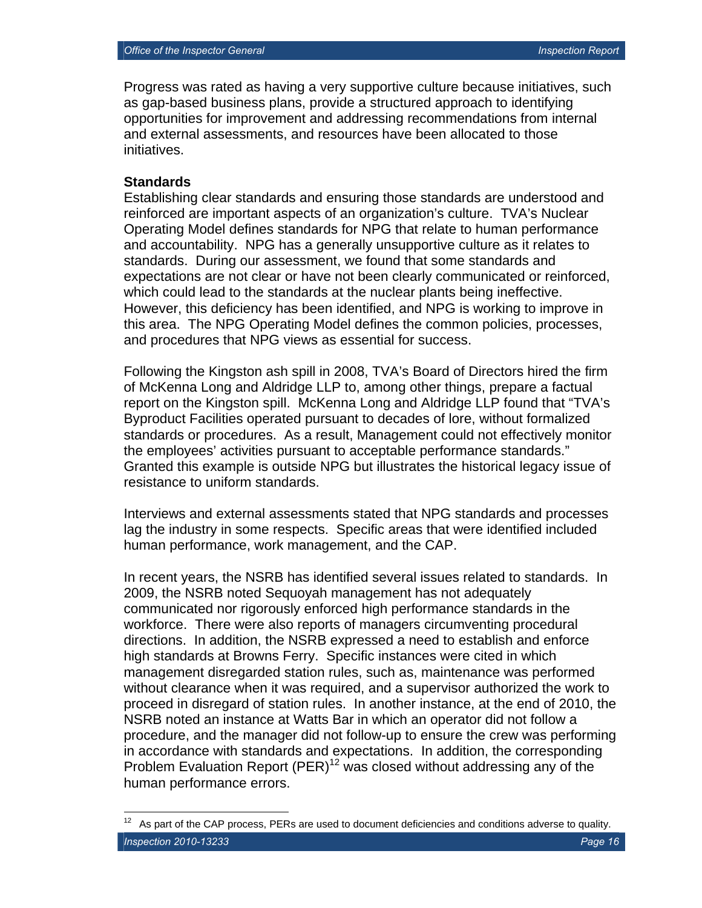Progress was rated as having a very supportive culture because initiatives, such as gap-based business plans, provide a structured approach to identifying opportunities for improvement and addressing recommendations from internal and external assessments, and resources have been allocated to those initiatives.

#### **Standards**

1

Establishing clear standards and ensuring those standards are understood and reinforced are important aspects of an organization's culture. TVA's Nuclear Operating Model defines standards for NPG that relate to human performance and accountability. NPG has a generally unsupportive culture as it relates to standards. During our assessment, we found that some standards and expectations are not clear or have not been clearly communicated or reinforced, which could lead to the standards at the nuclear plants being ineffective. However, this deficiency has been identified, and NPG is working to improve in this area. The NPG Operating Model defines the common policies, processes, and procedures that NPG views as essential for success.

Following the Kingston ash spill in 2008, TVA's Board of Directors hired the firm of McKenna Long and Aldridge LLP to, among other things, prepare a factual report on the Kingston spill. McKenna Long and Aldridge LLP found that "TVA's Byproduct Facilities operated pursuant to decades of lore, without formalized standards or procedures. As a result, Management could not effectively monitor the employees' activities pursuant to acceptable performance standards." Granted this example is outside NPG but illustrates the historical legacy issue of resistance to uniform standards.

Interviews and external assessments stated that NPG standards and processes lag the industry in some respects. Specific areas that were identified included human performance, work management, and the CAP.

In recent years, the NSRB has identified several issues related to standards. In 2009, the NSRB noted Sequoyah management has not adequately communicated nor rigorously enforced high performance standards in the workforce. There were also reports of managers circumventing procedural directions. In addition, the NSRB expressed a need to establish and enforce high standards at Browns Ferry. Specific instances were cited in which management disregarded station rules, such as, maintenance was performed without clearance when it was required, and a supervisor authorized the work to proceed in disregard of station rules. In another instance, at the end of 2010, the NSRB noted an instance at Watts Bar in which an operator did not follow a procedure, and the manager did not follow-up to ensure the crew was performing in accordance with standards and expectations. In addition, the corresponding Problem Evaluation Report  $(PER)^{12}$  was closed without addressing any of the human performance errors.

*Inspection 2010-13233 Page 16*  As part of the CAP process, PERs are used to document deficiencies and conditions adverse to quality.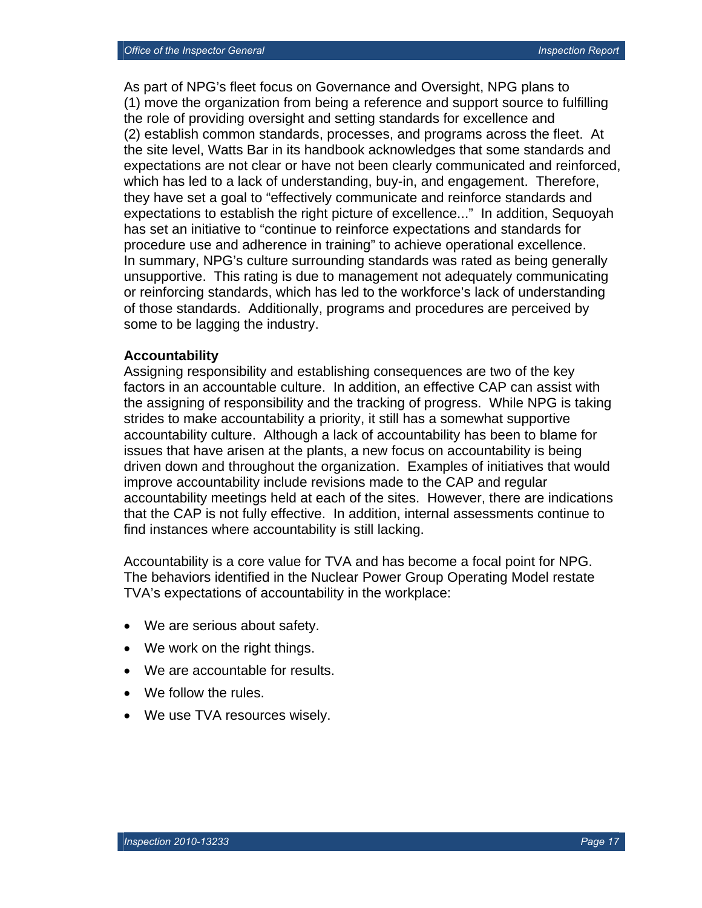As part of NPG's fleet focus on Governance and Oversight, NPG plans to (1) move the organization from being a reference and support source to fulfilling the role of providing oversight and setting standards for excellence and (2) establish common standards, processes, and programs across the fleet. At the site level, Watts Bar in its handbook acknowledges that some standards and expectations are not clear or have not been clearly communicated and reinforced, which has led to a lack of understanding, buy-in, and engagement. Therefore, they have set a goal to "effectively communicate and reinforce standards and expectations to establish the right picture of excellence..." In addition, Sequoyah has set an initiative to "continue to reinforce expectations and standards for procedure use and adherence in training" to achieve operational excellence. In summary, NPG's culture surrounding standards was rated as being generally unsupportive. This rating is due to management not adequately communicating or reinforcing standards, which has led to the workforce's lack of understanding of those standards. Additionally, programs and procedures are perceived by some to be lagging the industry.

#### **Accountability**

Assigning responsibility and establishing consequences are two of the key factors in an accountable culture. In addition, an effective CAP can assist with the assigning of responsibility and the tracking of progress. While NPG is taking strides to make accountability a priority, it still has a somewhat supportive accountability culture. Although a lack of accountability has been to blame for issues that have arisen at the plants, a new focus on accountability is being driven down and throughout the organization. Examples of initiatives that would improve accountability include revisions made to the CAP and regular accountability meetings held at each of the sites. However, there are indications that the CAP is not fully effective. In addition, internal assessments continue to find instances where accountability is still lacking.

Accountability is a core value for TVA and has become a focal point for NPG. The behaviors identified in the Nuclear Power Group Operating Model restate TVA's expectations of accountability in the workplace:

- We are serious about safety.
- We work on the right things.
- We are accountable for results.
- We follow the rules.
- We use TVA resources wisely.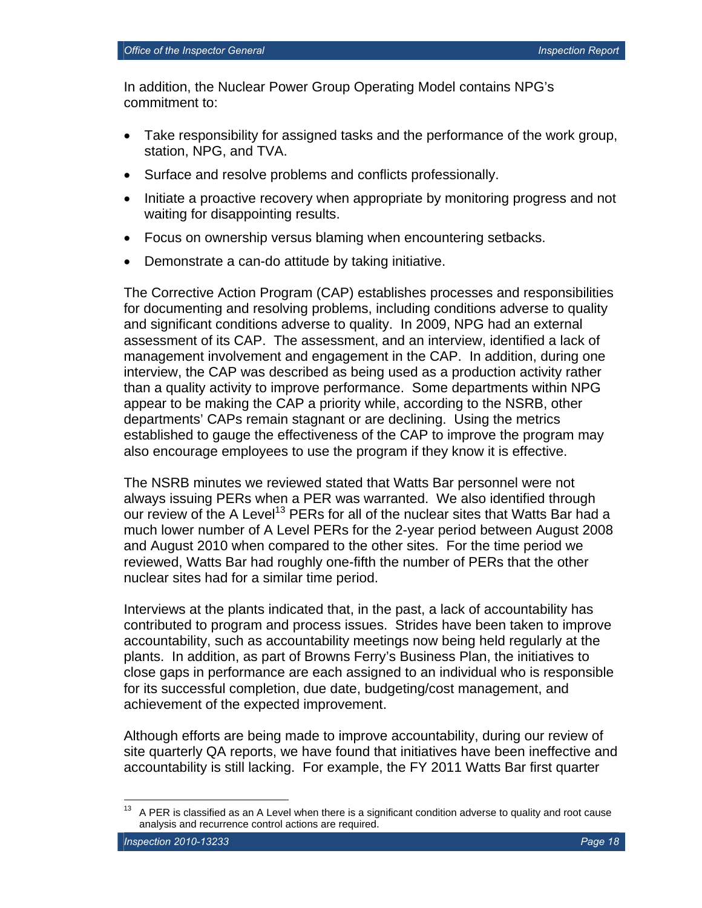In addition, the Nuclear Power Group Operating Model contains NPG's commitment to:

- Take responsibility for assigned tasks and the performance of the work group, station, NPG, and TVA.
- Surface and resolve problems and conflicts professionally.
- Initiate a proactive recovery when appropriate by monitoring progress and not waiting for disappointing results.
- Focus on ownership versus blaming when encountering setbacks.
- Demonstrate a can-do attitude by taking initiative.

The Corrective Action Program (CAP) establishes processes and responsibilities for documenting and resolving problems, including conditions adverse to quality and significant conditions adverse to quality. In 2009, NPG had an external assessment of its CAP. The assessment, and an interview, identified a lack of management involvement and engagement in the CAP. In addition, during one interview, the CAP was described as being used as a production activity rather than a quality activity to improve performance. Some departments within NPG appear to be making the CAP a priority while, according to the NSRB, other departments' CAPs remain stagnant or are declining. Using the metrics established to gauge the effectiveness of the CAP to improve the program may also encourage employees to use the program if they know it is effective.

The NSRB minutes we reviewed stated that Watts Bar personnel were not always issuing PERs when a PER was warranted. We also identified through our review of the A Level<sup>13</sup> PERs for all of the nuclear sites that Watts Bar had a much lower number of A Level PERs for the 2-year period between August 2008 and August 2010 when compared to the other sites. For the time period we reviewed, Watts Bar had roughly one-fifth the number of PERs that the other nuclear sites had for a similar time period.

Interviews at the plants indicated that, in the past, a lack of accountability has contributed to program and process issues. Strides have been taken to improve accountability, such as accountability meetings now being held regularly at the plants. In addition, as part of Browns Ferry's Business Plan, the initiatives to close gaps in performance are each assigned to an individual who is responsible for its successful completion, due date, budgeting/cost management, and achievement of the expected improvement.

Although efforts are being made to improve accountability, during our review of site quarterly QA reports, we have found that initiatives have been ineffective and accountability is still lacking. For example, the FY 2011 Watts Bar first quarter

<sup>13</sup> A PER is classified as an A Level when there is a significant condition adverse to quality and root cause analysis and recurrence control actions are required.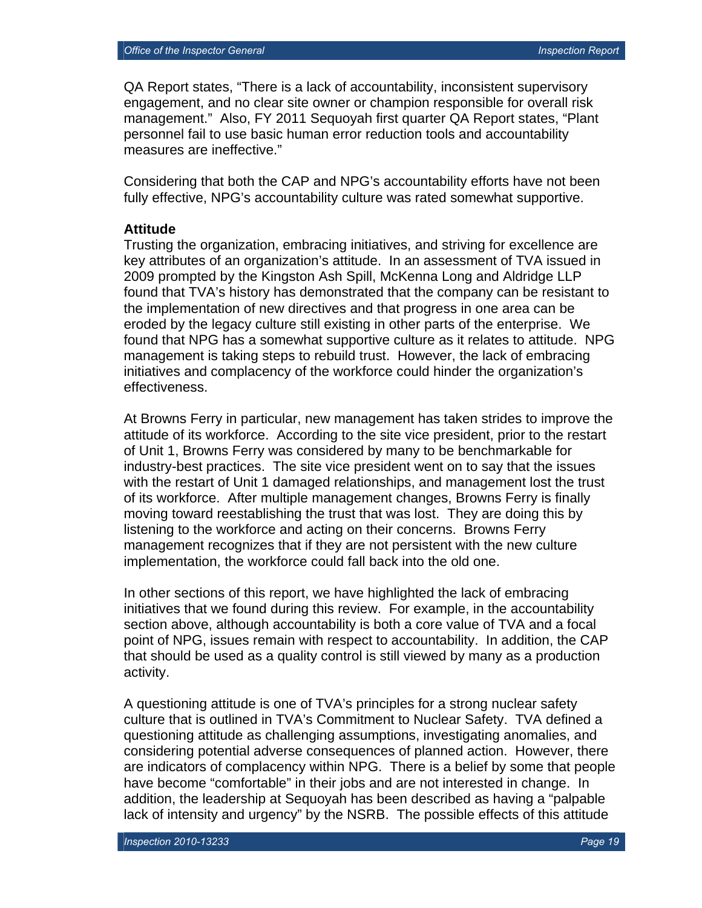QA Report states, "There is a lack of accountability, inconsistent supervisory engagement, and no clear site owner or champion responsible for overall risk management." Also, FY 2011 Sequoyah first quarter QA Report states, "Plant personnel fail to use basic human error reduction tools and accountability measures are ineffective."

Considering that both the CAP and NPG's accountability efforts have not been fully effective, NPG's accountability culture was rated somewhat supportive.

#### **Attitude**

Trusting the organization, embracing initiatives, and striving for excellence are key attributes of an organization's attitude. In an assessment of TVA issued in 2009 prompted by the Kingston Ash Spill, McKenna Long and Aldridge LLP found that TVA's history has demonstrated that the company can be resistant to the implementation of new directives and that progress in one area can be eroded by the legacy culture still existing in other parts of the enterprise. We found that NPG has a somewhat supportive culture as it relates to attitude. NPG management is taking steps to rebuild trust. However, the lack of embracing initiatives and complacency of the workforce could hinder the organization's effectiveness.

At Browns Ferry in particular, new management has taken strides to improve the attitude of its workforce. According to the site vice president, prior to the restart of Unit 1, Browns Ferry was considered by many to be benchmarkable for industry-best practices. The site vice president went on to say that the issues with the restart of Unit 1 damaged relationships, and management lost the trust of its workforce. After multiple management changes, Browns Ferry is finally moving toward reestablishing the trust that was lost. They are doing this by listening to the workforce and acting on their concerns. Browns Ferry management recognizes that if they are not persistent with the new culture implementation, the workforce could fall back into the old one.

In other sections of this report, we have highlighted the lack of embracing initiatives that we found during this review. For example, in the accountability section above, although accountability is both a core value of TVA and a focal point of NPG, issues remain with respect to accountability. In addition, the CAP that should be used as a quality control is still viewed by many as a production activity.

A questioning attitude is one of TVA's principles for a strong nuclear safety culture that is outlined in TVA's Commitment to Nuclear Safety. TVA defined a questioning attitude as challenging assumptions, investigating anomalies, and considering potential adverse consequences of planned action. However, there are indicators of complacency within NPG. There is a belief by some that people have become "comfortable" in their jobs and are not interested in change. In addition, the leadership at Sequoyah has been described as having a "palpable lack of intensity and urgency" by the NSRB. The possible effects of this attitude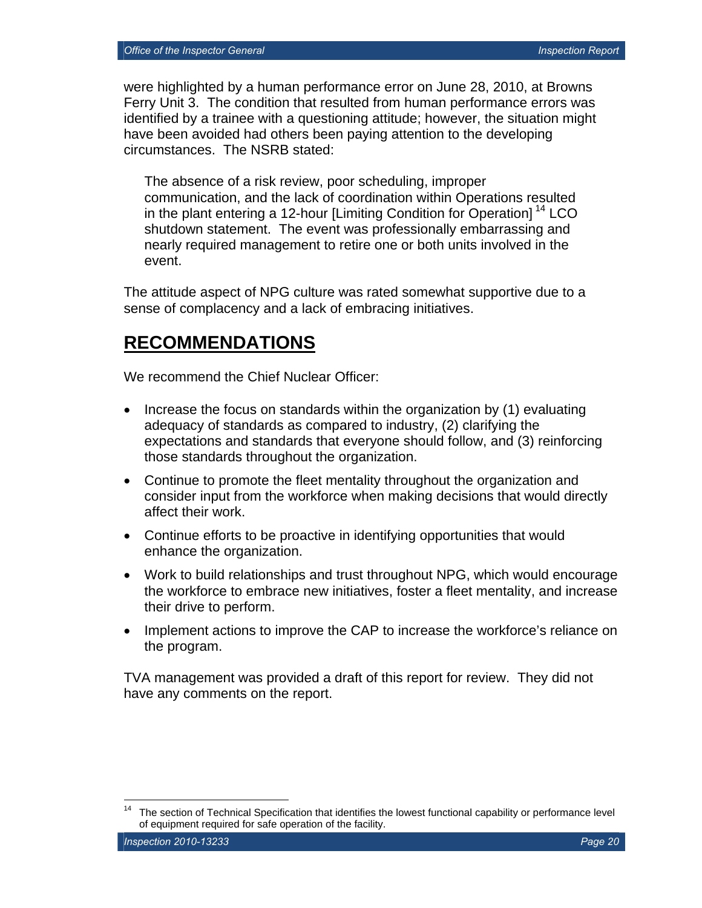were highlighted by a human performance error on June 28, 2010, at Browns Ferry Unit 3. The condition that resulted from human performance errors was identified by a trainee with a questioning attitude; however, the situation might have been avoided had others been paying attention to the developing circumstances. The NSRB stated:

The absence of a risk review, poor scheduling, improper communication, and the lack of coordination within Operations resulted in the plant entering a 12-hour [Limiting Condition for Operation]<sup>14</sup> LCO shutdown statement. The event was professionally embarrassing and nearly required management to retire one or both units involved in the event.

The attitude aspect of NPG culture was rated somewhat supportive due to a sense of complacency and a lack of embracing initiatives.

## **RECOMMENDATIONS**

We recommend the Chief Nuclear Officer:

- Increase the focus on standards within the organization by (1) evaluating adequacy of standards as compared to industry, (2) clarifying the expectations and standards that everyone should follow, and (3) reinforcing those standards throughout the organization.
- Continue to promote the fleet mentality throughout the organization and consider input from the workforce when making decisions that would directly affect their work.
- Continue efforts to be proactive in identifying opportunities that would enhance the organization.
- Work to build relationships and trust throughout NPG, which would encourage the workforce to embrace new initiatives, foster a fleet mentality, and increase their drive to perform.
- Implement actions to improve the CAP to increase the workforce's reliance on the program.

TVA management was provided a draft of this report for review. They did not have any comments on the report.

1

The section of Technical Specification that identifies the lowest functional capability or performance level of equipment required for safe operation of the facility.